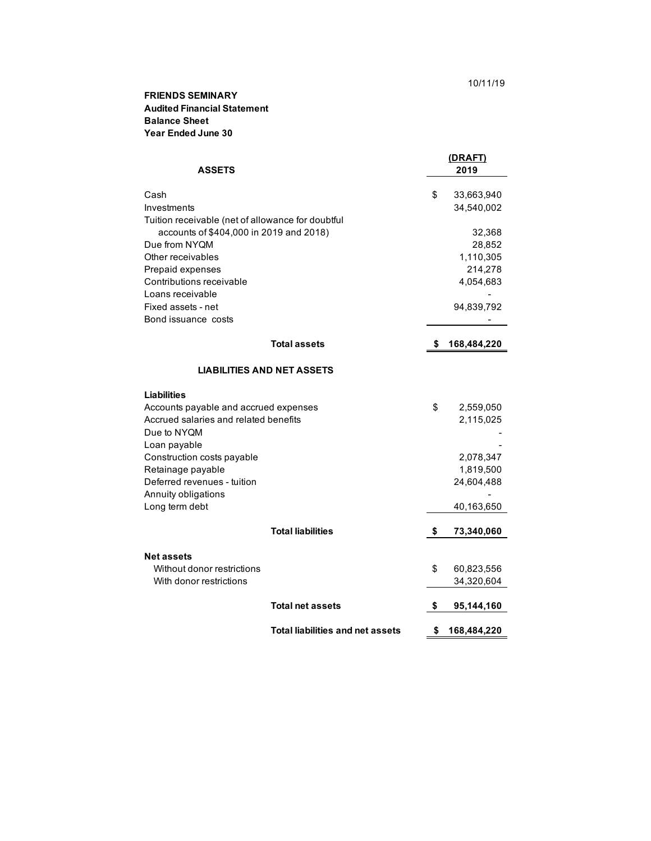## **FRIENDS SEMINARY Audited Financial Statement Year Ended June 30 Balance Sheet**

| <b>ASSETS</b>                                     |                                         | (DRAFT)<br>2019 |             |
|---------------------------------------------------|-----------------------------------------|-----------------|-------------|
| Cash                                              |                                         | \$              | 33,663,940  |
| Investments                                       |                                         |                 | 34,540,002  |
| Tuition receivable (net of allowance for doubtful |                                         |                 |             |
| accounts of \$404,000 in 2019 and 2018)           |                                         |                 | 32,368      |
| Due from NYQM                                     |                                         |                 | 28,852      |
| Other receivables                                 |                                         |                 | 1,110,305   |
| Prepaid expenses                                  |                                         |                 | 214,278     |
| Contributions receivable                          |                                         |                 | 4,054,683   |
| Loans receivable                                  |                                         |                 |             |
| Fixed assets - net                                |                                         |                 | 94,839,792  |
| Bond issuance costs                               |                                         |                 |             |
|                                                   | <b>Total assets</b>                     | \$              | 168,484,220 |
| <b>LIABILITIES AND NET ASSETS</b>                 |                                         |                 |             |
| Liabilities                                       |                                         |                 |             |
| Accounts payable and accrued expenses             |                                         | \$              | 2,559,050   |
| Accrued salaries and related benefits             |                                         |                 | 2,115,025   |
| Due to NYQM                                       |                                         |                 |             |
| Loan payable                                      |                                         |                 |             |
| Construction costs payable                        |                                         |                 | 2,078,347   |
| Retainage payable                                 |                                         |                 | 1,819,500   |
| Deferred revenues - tuition                       |                                         |                 | 24,604,488  |
| Annuity obligations                               |                                         |                 |             |
| Long term debt                                    |                                         |                 | 40,163,650  |
|                                                   | <b>Total liabilities</b>                | \$              | 73,340,060  |
|                                                   |                                         |                 |             |
| <b>Net assets</b>                                 |                                         |                 |             |
| Without donor restrictions                        |                                         | \$              | 60,823,556  |
| With donor restrictions                           |                                         |                 | 34,320,604  |
|                                                   | <b>Total net assets</b>                 | \$              | 95,144,160  |
|                                                   | <b>Total liabilities and net assets</b> | \$              | 168,484,220 |